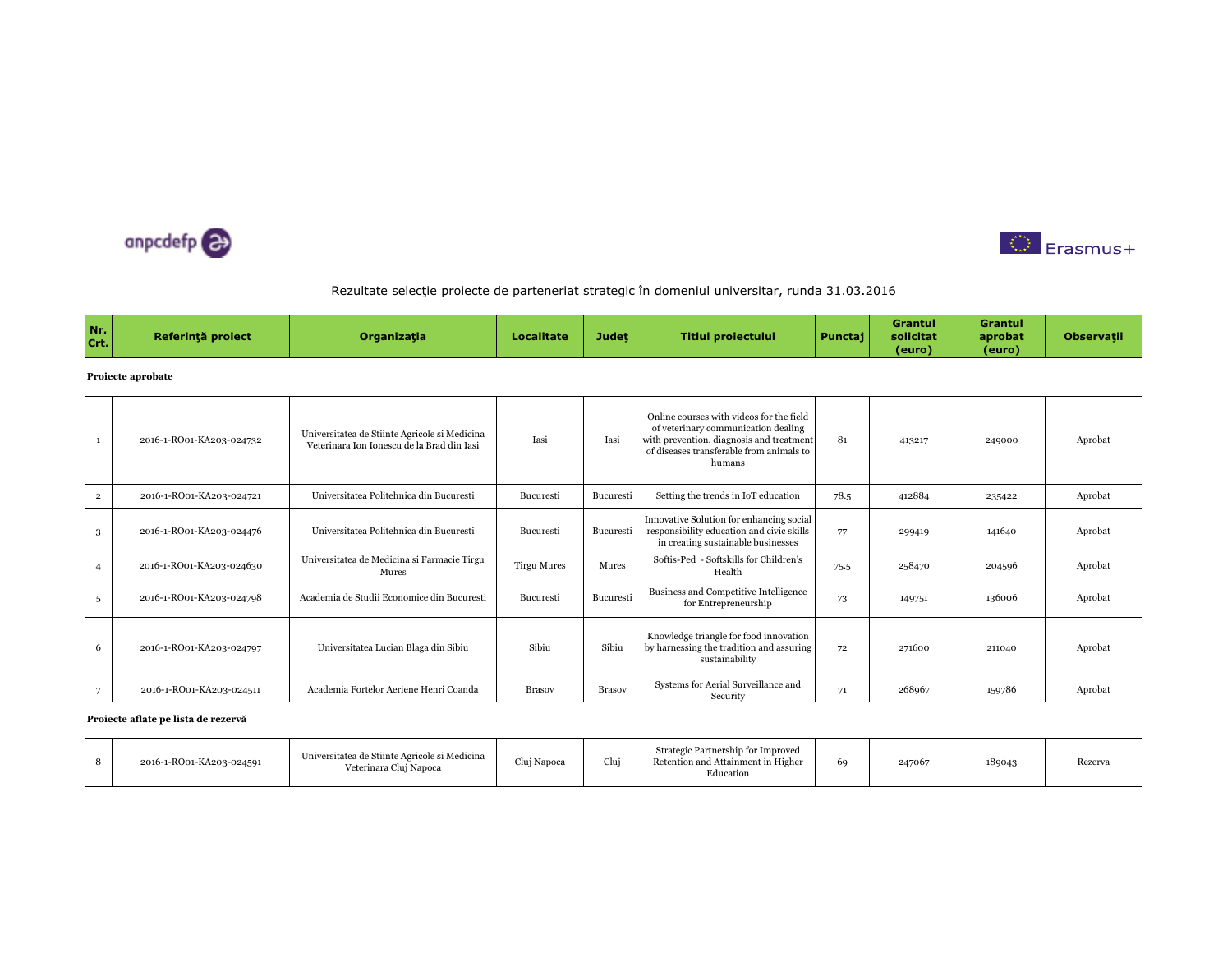



| Nr.<br>Crt.    | Referință proiect                   | Organizația                                                                                 | Localitate         | <b>Judet</b>  | <b>Titlul proiectului</b>                                                                                                                                                         | Punctaj | <b>Grantul</b><br>solicitat<br>(euro) | <b>Grantul</b><br>aprobat<br>(euro) | <b>Observatii</b> |  |  |  |  |
|----------------|-------------------------------------|---------------------------------------------------------------------------------------------|--------------------|---------------|-----------------------------------------------------------------------------------------------------------------------------------------------------------------------------------|---------|---------------------------------------|-------------------------------------|-------------------|--|--|--|--|
|                | Proiecte aprobate                   |                                                                                             |                    |               |                                                                                                                                                                                   |         |                                       |                                     |                   |  |  |  |  |
| $\mathbf{1}$   | 2016-1-RO01-KA203-024732            | Universitatea de Stiinte Agricole si Medicina<br>Veterinara Ion Ionescu de la Brad din Iasi | Iasi               | Iasi          | Online courses with videos for the field<br>of veterinary communication dealing<br>with prevention, diagnosis and treatment<br>of diseases transferable from animals to<br>humans | 81      | 413217                                | 249000                              | Aprobat           |  |  |  |  |
| $\overline{2}$ | 2016-1-RO01-KA203-024721            | Universitatea Politehnica din Bucuresti                                                     | Bucuresti          | Bucuresti     | Setting the trends in IoT education                                                                                                                                               | 78.5    | 412884                                | 235422                              | Aprobat           |  |  |  |  |
| 3              | 2016-1-RO01-KA203-024476            | Universitatea Politehnica din Bucuresti                                                     | Bucuresti          | Bucuresti     | Innovative Solution for enhancing social<br>responsibility education and civic skills<br>in creating sustainable businesses                                                       | 77      | 299419                                | 141640                              | Aprobat           |  |  |  |  |
| $\overline{4}$ | 2016-1-RO01-KA203-024630            | Universitatea de Medicina si Farmacie Tirgu<br>Mures                                        | <b>Tirgu Mures</b> | Mures         | Softis-Ped - Softskills for Children's<br>Health                                                                                                                                  | 75.5    | 258470                                | 204596                              | Aprobat           |  |  |  |  |
| 5              | 2016-1-RO01-KA203-024798            | Academia de Studii Economice din Bucuresti                                                  | Bucuresti          | Bucuresti     | Business and Competitive Intelligence<br>for Entrepreneurship                                                                                                                     | 73      | 149751                                | 136006                              | Aprobat           |  |  |  |  |
| 6              | 2016-1-RO01-KA203-024797            | Universitatea Lucian Blaga din Sibiu                                                        | Sibiu              | Sibiu         | Knowledge triangle for food innovation<br>by harnessing the tradition and assuring<br>sustainability                                                                              | 72      | 271600                                | 211040                              | Aprobat           |  |  |  |  |
| $\overline{7}$ | 2016-1-RO01-KA203-024511            | Academia Fortelor Aeriene Henri Coanda                                                      | <b>Brasov</b>      | <b>Brasov</b> | Systems for Aerial Surveillance and<br>Security                                                                                                                                   | 71      | 268967                                | 159786                              | Aprobat           |  |  |  |  |
|                | Proiecte aflate pe lista de rezervă |                                                                                             |                    |               |                                                                                                                                                                                   |         |                                       |                                     |                   |  |  |  |  |
| 8              | 2016-1-RO01-KA203-024591            | Universitatea de Stiinte Agricole si Medicina<br>Veterinara Cluj Napoca                     | Cluj Napoca        | Cluj          | Strategic Partnership for Improved<br>Retention and Attainment in Higher<br>Education                                                                                             | 69      | 247067                                | 189043                              | Rezerva           |  |  |  |  |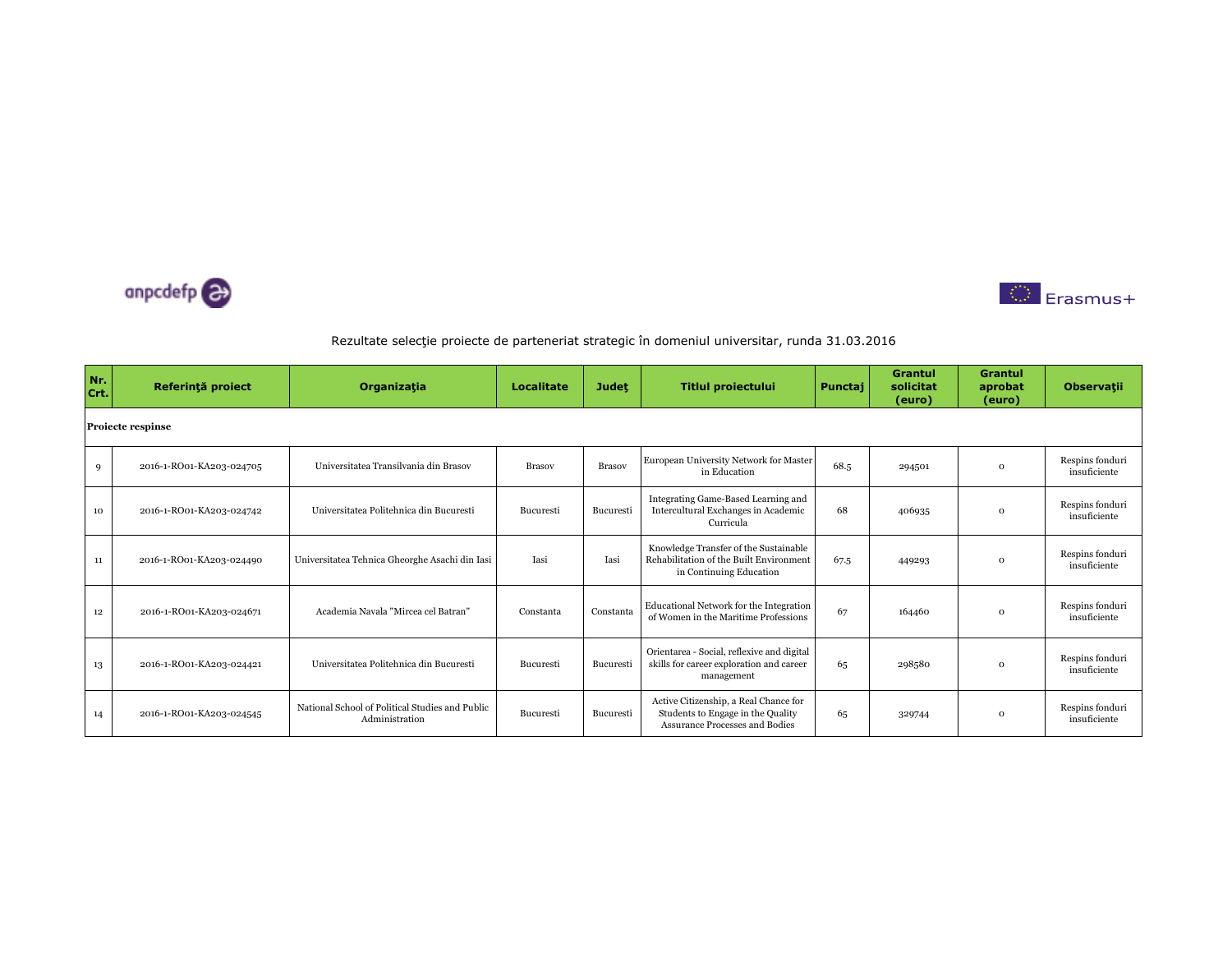



| Nr.<br>Crt. | Referință proiect        | Organizația                                                       | <b>Localitate</b> | <b>Judet</b>  | <b>Titlul proiectului</b>                                                                                           | Punctaj | <b>Grantul</b><br>solicitat<br>(euro) | Grantul<br>aprobat<br>(euro) | <b>Observatii</b>               |  |  |  |  |
|-------------|--------------------------|-------------------------------------------------------------------|-------------------|---------------|---------------------------------------------------------------------------------------------------------------------|---------|---------------------------------------|------------------------------|---------------------------------|--|--|--|--|
|             | <b>Proiecte respinse</b> |                                                                   |                   |               |                                                                                                                     |         |                                       |                              |                                 |  |  |  |  |
| 9           | 2016-1-RO01-KA203-024705 | Universitatea Transilvania din Brasov                             | <b>Brasov</b>     | <b>Brasov</b> | European University Network for Master<br>in Education                                                              | 68.5    | 294501                                | $\Omega$                     | Respins fonduri<br>insuficiente |  |  |  |  |
| 10          | 2016-1-RO01-KA203-024742 | Universitatea Politehnica din Bucuresti                           | Bucuresti         | Bucuresti     | Integrating Game-Based Learning and<br>Intercultural Exchanges in Academic<br>Curricula                             | 68      | 406935                                | $\Omega$                     | Respins fonduri<br>insuficiente |  |  |  |  |
| 11          | 2016-1-RO01-KA203-024490 | Universitatea Tehnica Gheorghe Asachi din Iasi                    | Iasi              | <b>Tasi</b>   | Knowledge Transfer of the Sustainable<br>Rehabilitation of the Built Environment<br>in Continuing Education         | 67.5    | 449293                                | $\Omega$                     | Respins fonduri<br>insuficiente |  |  |  |  |
| 12          | 2016-1-RO01-KA203-024671 | Academia Navala "Mircea cel Batran"                               | Constanta         | Constanta     | Educational Network for the Integration<br>of Women in the Maritime Professions                                     | 67      | 164460                                | $\Omega$                     | Respins fonduri<br>insuficiente |  |  |  |  |
| 13          | 2016-1-RO01-KA203-024421 | Universitatea Politehnica din Bucuresti                           | Bucuresti         | Bucuresti     | Orientarea - Social, reflexive and digital<br>skills for career exploration and career<br>management                | 65      | 298580                                | $\Omega$                     | Respins fonduri<br>insuficiente |  |  |  |  |
| 14          | 2016-1-RO01-KA203-024545 | National School of Political Studies and Public<br>Administration | Bucuresti         | Bucuresti     | Active Citizenship, a Real Chance for<br>Students to Engage in the Quality<br><b>Assurance Processes and Bodies</b> | 65      | 329744                                | $\Omega$                     | Respins fonduri<br>insuficiente |  |  |  |  |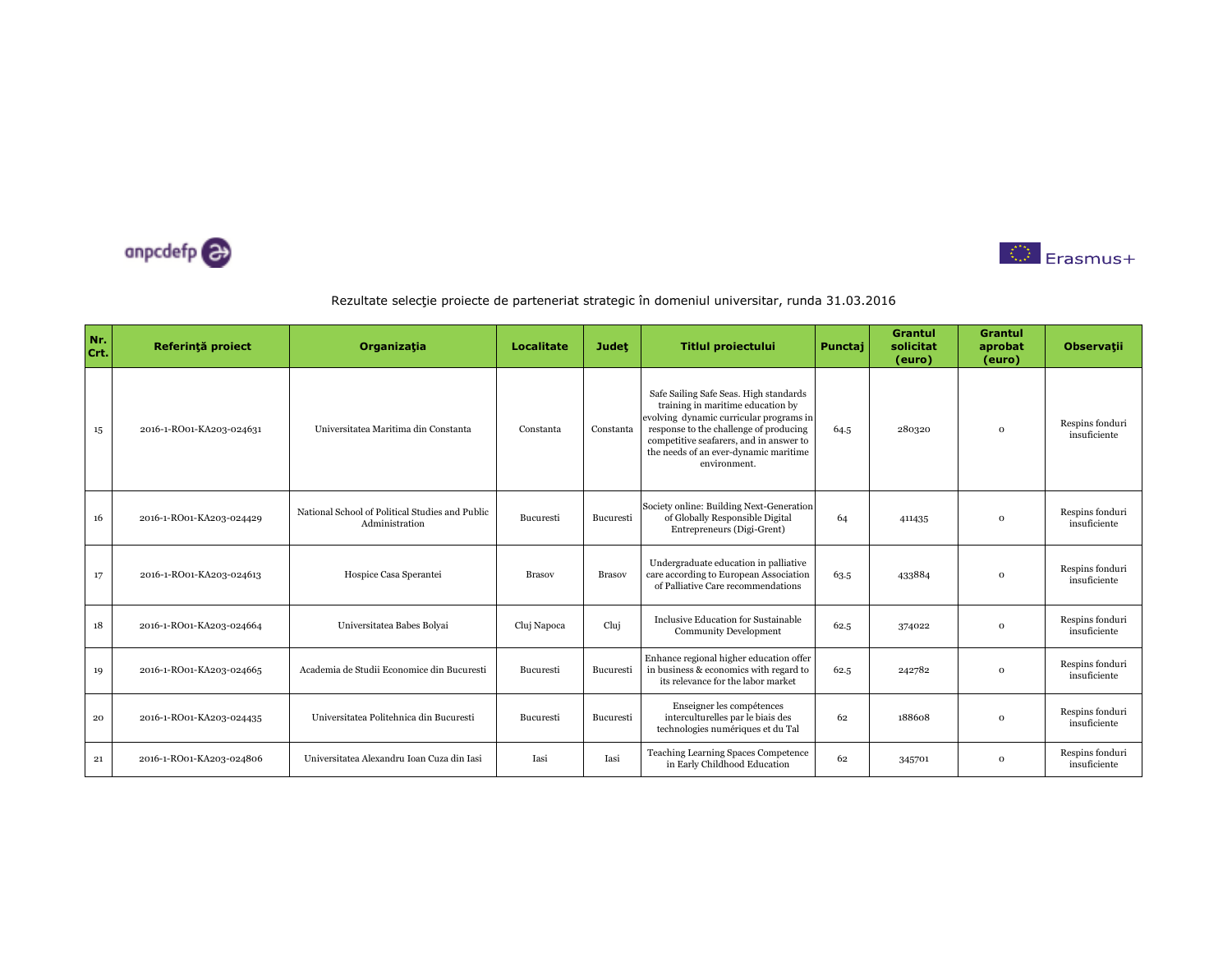



| Nr.<br>Crt. | Referință proiect        | Organizația                                                       | <b>Localitate</b> | <b>Judet</b>  | <b>Titlul proiectului</b>                                                                                                                                                                                                                                            | Punctaj | <b>Grantul</b><br>solicitat<br>(euro) | <b>Grantul</b><br>aprobat<br>(euro) | <b>Observatii</b>               |
|-------------|--------------------------|-------------------------------------------------------------------|-------------------|---------------|----------------------------------------------------------------------------------------------------------------------------------------------------------------------------------------------------------------------------------------------------------------------|---------|---------------------------------------|-------------------------------------|---------------------------------|
| 15          | 2016-1-RO01-KA203-024631 | Universitatea Maritima din Constanta                              | Constanta         | Constanta     | Safe Sailing Safe Seas. High standards<br>training in maritime education by<br>evolving dynamic curricular programs in<br>response to the challenge of producing<br>competitive seafarers, and in answer to<br>the needs of an ever-dynamic maritime<br>environment. | 64.5    | 280320                                | $\Omega$                            | Respins fonduri<br>insuficiente |
| 16          | 2016-1-RO01-KA203-024429 | National School of Political Studies and Public<br>Administration | Bucuresti         | Bucuresti     | Society online: Building Next-Generation<br>of Globally Responsible Digital<br>Entrepreneurs (Digi-Grent)                                                                                                                                                            | 64      | 411435                                | $\Omega$                            | Respins fonduri<br>insuficiente |
| 17          | 2016-1-RO01-KA203-024613 | Hospice Casa Sperantei                                            | <b>Brasov</b>     | <b>Brasov</b> | Undergraduate education in palliative<br>care according to European Association<br>of Palliative Care recommendations                                                                                                                                                | 63.5    | 433884                                | $\mathbf 0$                         | Respins fonduri<br>insuficiente |
| 18          | 2016-1-RO01-KA203-024664 | Universitatea Babes Bolyai                                        | Cluj Napoca       | Cluj          | Inclusive Education for Sustainable<br><b>Community Development</b>                                                                                                                                                                                                  | 62.5    | 374022                                | $\mathbf 0$                         | Respins fonduri<br>insuficiente |
| 19          | 2016-1-RO01-KA203-024665 | Academia de Studii Economice din Bucuresti                        | Bucuresti         | Bucuresti     | Enhance regional higher education offer<br>in business & economics with regard to<br>its relevance for the labor market                                                                                                                                              | 62.5    | 242782                                | $\Omega$                            | Respins fonduri<br>insuficiente |
| 20          | 2016-1-RO01-KA203-024435 | Universitatea Politehnica din Bucuresti                           | Bucuresti         | Bucuresti     | Enseigner les compétences<br>interculturelles par le biais des<br>technologies numériques et du Tal                                                                                                                                                                  | 62      | 188608                                | $\Omega$                            | Respins fonduri<br>insuficiente |
| 21          | 2016-1-RO01-KA203-024806 | Universitatea Alexandru Ioan Cuza din Iasi                        | Iasi              | Iasi          | Teaching Learning Spaces Competence<br>in Early Childhood Education                                                                                                                                                                                                  | 62      | 345701                                | $\mathbf{o}$                        | Respins fonduri<br>insuficiente |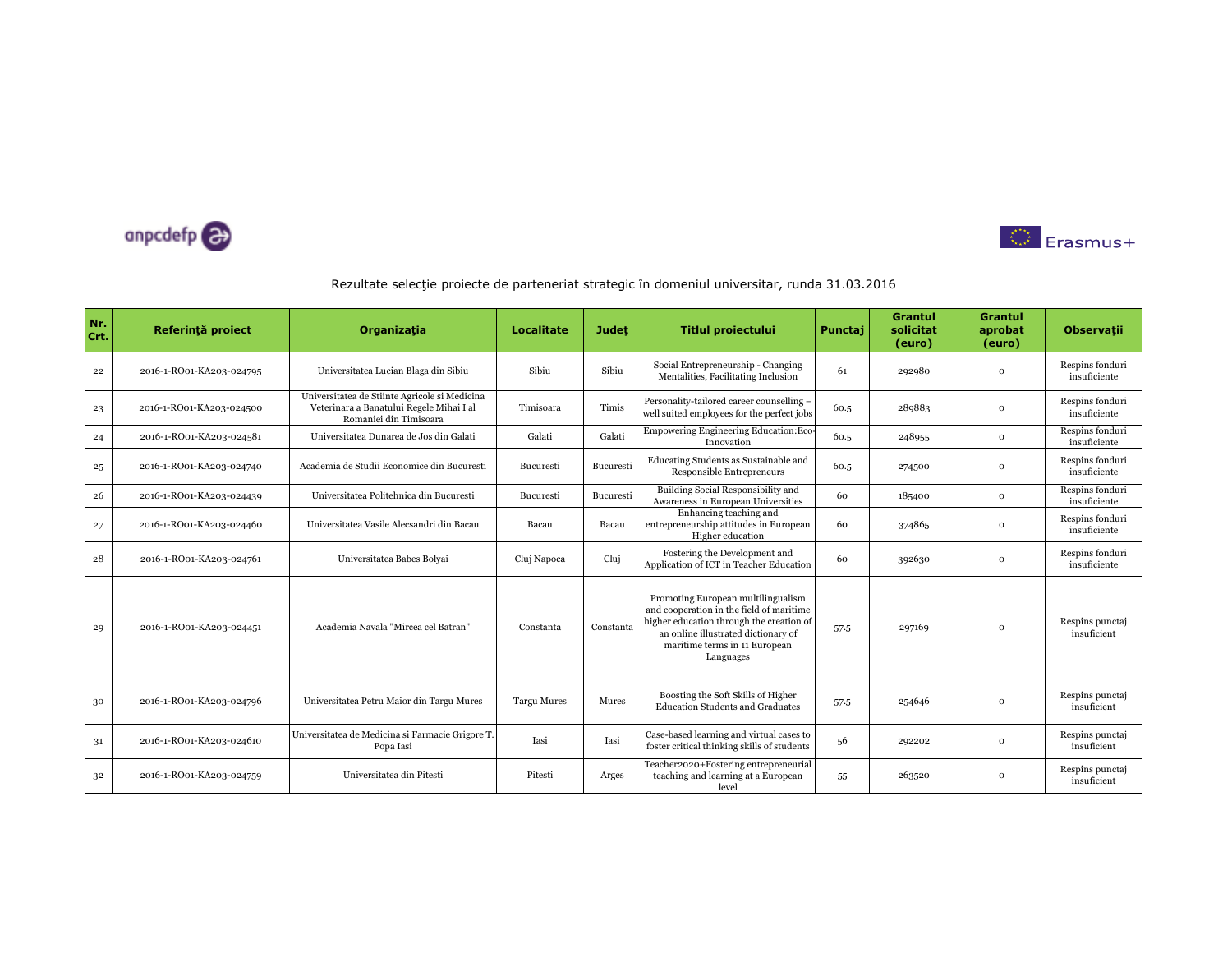



| Nr.<br>Crt. | Referință proiect        | Organizația                                                                                                         | <b>Localitate</b>  | <b>Judet</b> | Titlul proiectului                                                                                                                                                                                              | Punctaj | <b>Grantul</b><br>solicitat<br>(euro) | <b>Grantul</b><br>aprobat<br>(euro) | <b>Observatii</b>               |
|-------------|--------------------------|---------------------------------------------------------------------------------------------------------------------|--------------------|--------------|-----------------------------------------------------------------------------------------------------------------------------------------------------------------------------------------------------------------|---------|---------------------------------------|-------------------------------------|---------------------------------|
| $^{22}$     | 2016-1-RO01-KA203-024795 | Universitatea Lucian Blaga din Sibiu                                                                                | Sibiu              | Sibiu        | Social Entrepreneurship - Changing<br>Mentalities, Facilitating Inclusion                                                                                                                                       | 61      | 292980                                | $\mathbf 0$                         | Respins fonduri<br>insuficiente |
| 23          | 2016-1-RO01-KA203-024500 | Universitatea de Stiinte Agricole si Medicina<br>Veterinara a Banatului Regele Mihai I al<br>Romaniei din Timisoara | Timisoara          | Timis        | Personality-tailored career counselling -<br>well suited employees for the perfect jobs                                                                                                                         | 60.5    | 289883                                | $\Omega$                            | Respins fonduri<br>insuficiente |
| 24          | 2016-1-RO01-KA203-024581 | Universitatea Dunarea de Jos din Galati                                                                             | Galati             | Galati       | Empowering Engineering Education: Eco<br>Innovation                                                                                                                                                             | 60.5    | 248955                                | $\mathbf 0$                         | Respins fonduri<br>insuficiente |
| 25          | 2016-1-RO01-KA203-024740 | Academia de Studii Economice din Bucuresti                                                                          | Bucuresti          | Bucuresti    | Educating Students as Sustainable and<br>Responsible Entrepreneurs                                                                                                                                              | 60.5    | 274500                                | $\mathbf 0$                         | Respins fonduri<br>insuficiente |
| 26          | 2016-1-RO01-KA203-024439 | Universitatea Politehnica din Bucuresti                                                                             | Bucuresti          | Bucuresti    | Building Social Responsibility and<br>Awareness in European Universities                                                                                                                                        | 60      | 185400                                | $\Omega$                            | Respins fonduri<br>insuficiente |
| 27          | 2016-1-RO01-KA203-024460 | Universitatea Vasile Alecsandri din Bacau                                                                           | Bacau              | Bacau        | Enhancing teaching and<br>entrepreneurship attitudes in European<br>Higher education                                                                                                                            | 60      | 374865                                | $\mathbf 0$                         | Respins fonduri<br>insuficiente |
| 28          | 2016-1-RO01-KA203-024761 | Universitatea Babes Bolyai                                                                                          | Cluj Napoca        | Clui         | Fostering the Development and<br>Application of ICT in Teacher Education                                                                                                                                        | 60      | 392630                                | $\Omega$                            | Respins fonduri<br>insuficiente |
| 29          | 2016-1-RO01-KA203-024451 | Academia Navala "Mircea cel Batran"                                                                                 | Constanta          | Constanta    | Promoting European multilingualism<br>and cooperation in the field of maritime<br>higher education through the creation of<br>an online illustrated dictionary of<br>maritime terms in 11 European<br>Languages | 57.5    | 297169                                | $\mathbf 0$                         | Respins punctaj<br>insuficient  |
| 30          | 2016-1-RO01-KA203-024796 | Universitatea Petru Maior din Targu Mures                                                                           | <b>Targu Mures</b> | Mures        | Boosting the Soft Skills of Higher<br><b>Education Students and Graduates</b>                                                                                                                                   | 57.5    | 254646                                | $\Omega$                            | Respins punctaj<br>insuficient  |
| 31          | 2016-1-RO01-KA203-024610 | Universitatea de Medicina si Farmacie Grigore T.<br>Popa Iasi                                                       | Iasi               | Iasi         | Case-based learning and virtual cases to<br>foster critical thinking skills of students                                                                                                                         | 56      | 292202                                | $\Omega$                            | Respins punctaj<br>insuficient  |
| 32          | 2016-1-RO01-KA203-024759 | Universitatea din Pitesti                                                                                           | Pitesti            | Arges        | Teacher2020+Fostering entrepreneurial<br>teaching and learning at a European<br>level                                                                                                                           | 55      | 263520                                | $\mathbf 0$                         | Respins punctaj<br>insuficient  |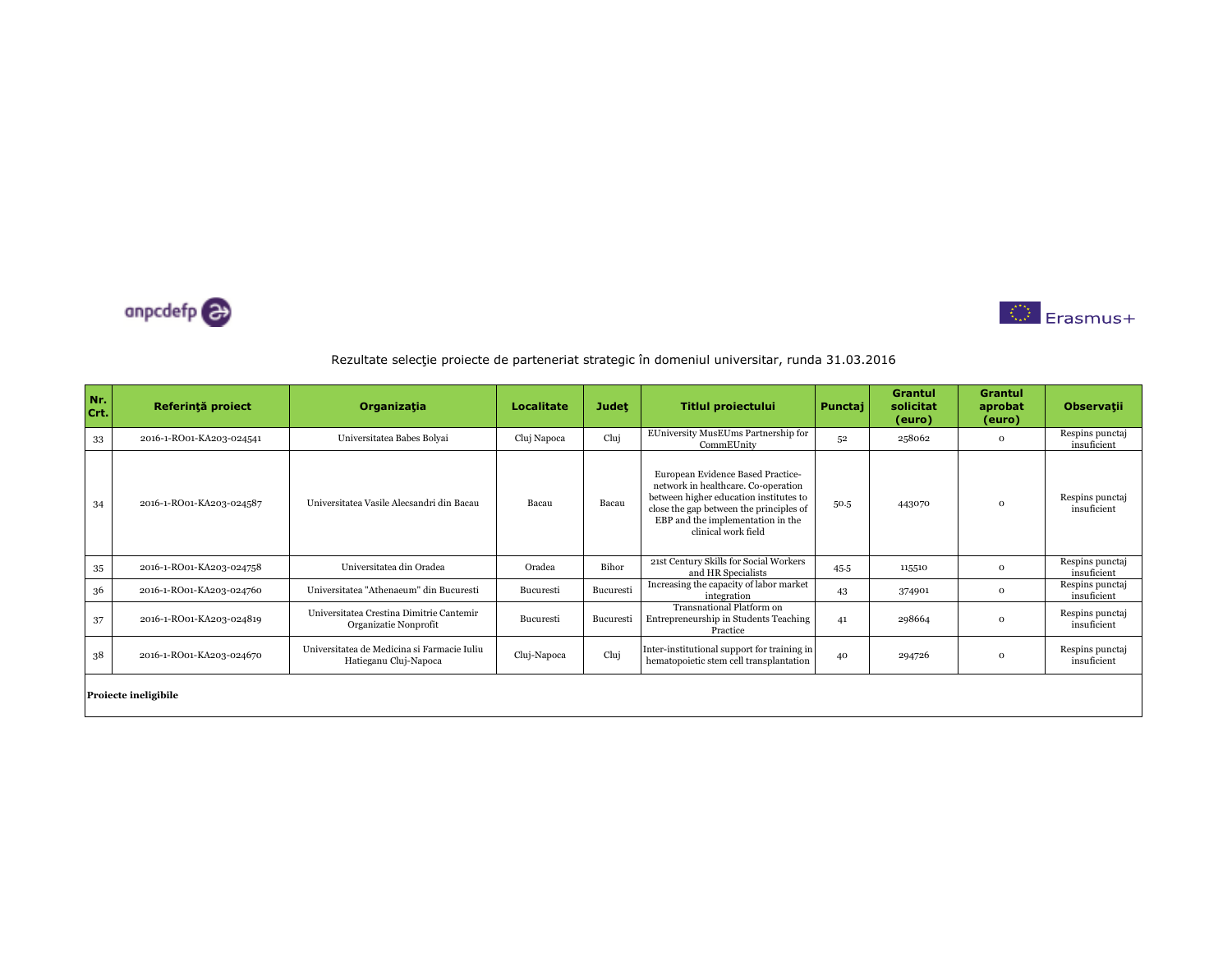



| Nr.<br>Crt. | Referință proiect        | Organizația                                                          | Localitate  | <b>Judet</b> | <b>Titlul proiectului</b>                                                                                                                                                                                                 | Punctaj | Grantul<br>solicitat<br>(euro) | Grantul<br>aprobat<br>(euro) | <b>Observatii</b>              |  |  |
|-------------|--------------------------|----------------------------------------------------------------------|-------------|--------------|---------------------------------------------------------------------------------------------------------------------------------------------------------------------------------------------------------------------------|---------|--------------------------------|------------------------------|--------------------------------|--|--|
| 33          | 2016-1-RO01-KA203-024541 | Universitatea Babes Bolyai                                           | Cluj Napoca | Cluj         | EUniversity MusEUms Partnership for<br>CommEUnity                                                                                                                                                                         | 52      | 258062                         | $\mathbf{o}$                 | Respins punctaj<br>insuficient |  |  |
| 34          | 2016-1-RO01-KA203-024587 | Universitatea Vasile Alecsandri din Bacau                            | Bacau       | Bacau        | European Evidence Based Practice-<br>network in healthcare. Co-operation<br>between higher education institutes to<br>close the gap between the principles of<br>EBP and the implementation in the<br>clinical work field | 50.5    | 443070                         | $\mathbf{o}$                 | Respins punctaj<br>insuficient |  |  |
| 35          | 2016-1-RO01-KA203-024758 | Universitatea din Oradea                                             | Oradea      | Bihor        | 21st Century Skills for Social Workers<br>and HR Specialists                                                                                                                                                              | 45.5    | 115510                         | $\mathbf{o}$                 | Respins punctaj<br>insuficient |  |  |
| 36          | 2016-1-RO01-KA203-024760 | Universitatea "Athenaeum" din Bucuresti                              | Bucuresti   | Bucuresti    | Increasing the capacity of labor market<br>integration                                                                                                                                                                    | 43      | 374901                         | $\mathbf{o}$                 | Respins punctaj<br>insuficient |  |  |
| 37          | 2016-1-RO01-KA203-024819 | Universitatea Crestina Dimitrie Cantemir<br>Organizatie Nonprofit    | Bucuresti   | Bucuresti    | Transnational Platform on<br>Entrepreneurship in Students Teaching<br>Practice                                                                                                                                            | 41      | 298664                         | $\mathbf{o}$                 | Respins punctaj<br>insuficient |  |  |
| 38          | 2016-1-RO01-KA203-024670 | Universitatea de Medicina si Farmacie Iuliu<br>Hatieganu Cluj-Napoca | Cluj-Napoca | Cluj         | Inter-institutional support for training in<br>hematopoietic stem cell transplantation                                                                                                                                    | 40      | 294726                         | $\mathbf{o}$                 | Respins punctaj<br>insuficient |  |  |
|             | Proiecte ineligibile     |                                                                      |             |              |                                                                                                                                                                                                                           |         |                                |                              |                                |  |  |